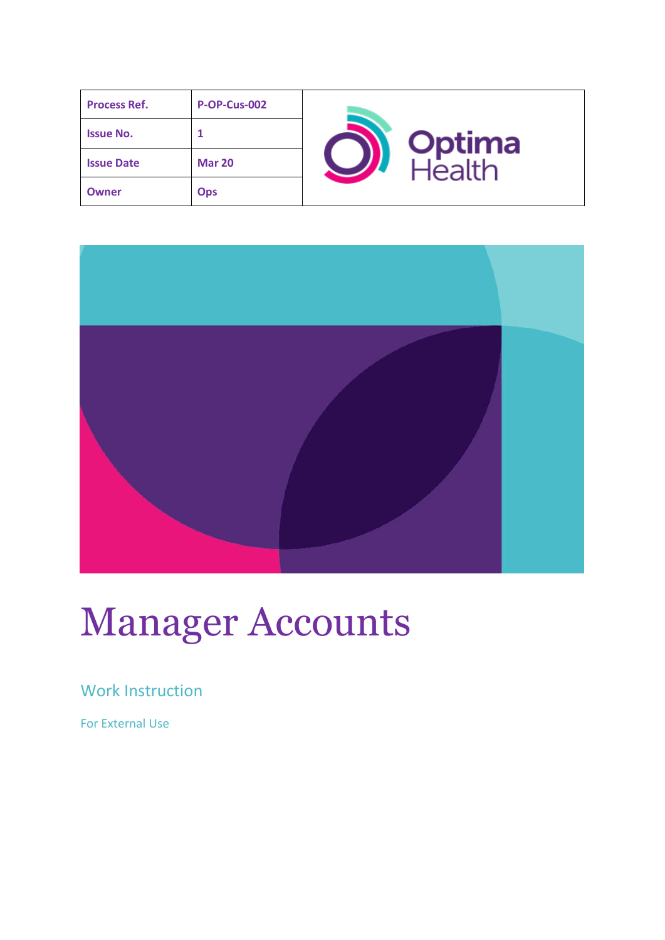| <b>Process Ref.</b> | <b>P-OP-Cus-002</b> |        |
|---------------------|---------------------|--------|
| <b>Issue No.</b>    |                     | Optima |
| <b>Issue Date</b>   | <b>Mar 20</b>       | lealth |
| <b>Owner</b>        | <b>Ops</b>          |        |



# Manager Accounts

## Work Instruction

For External Use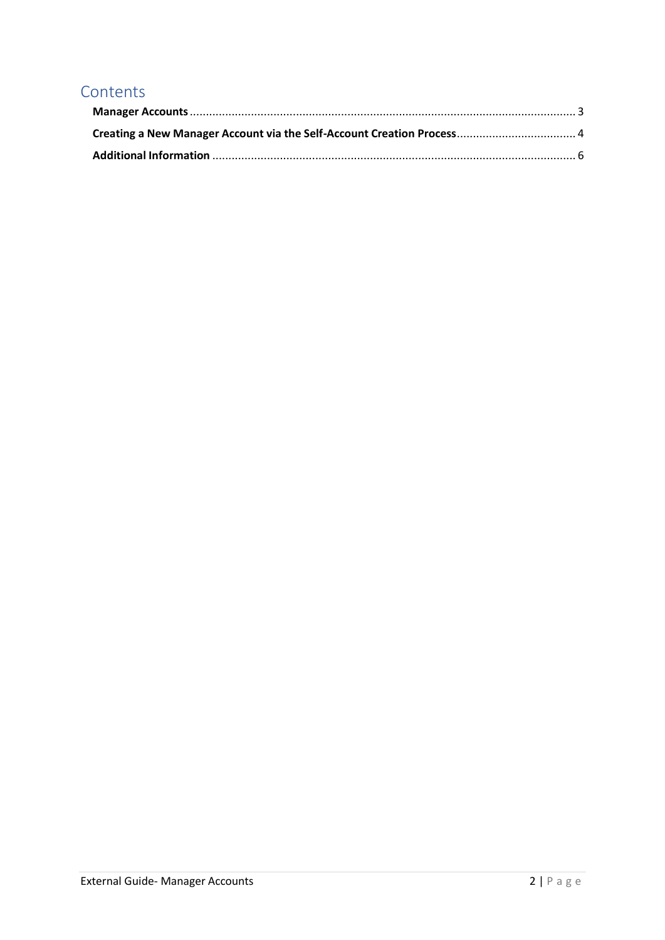## **Contents**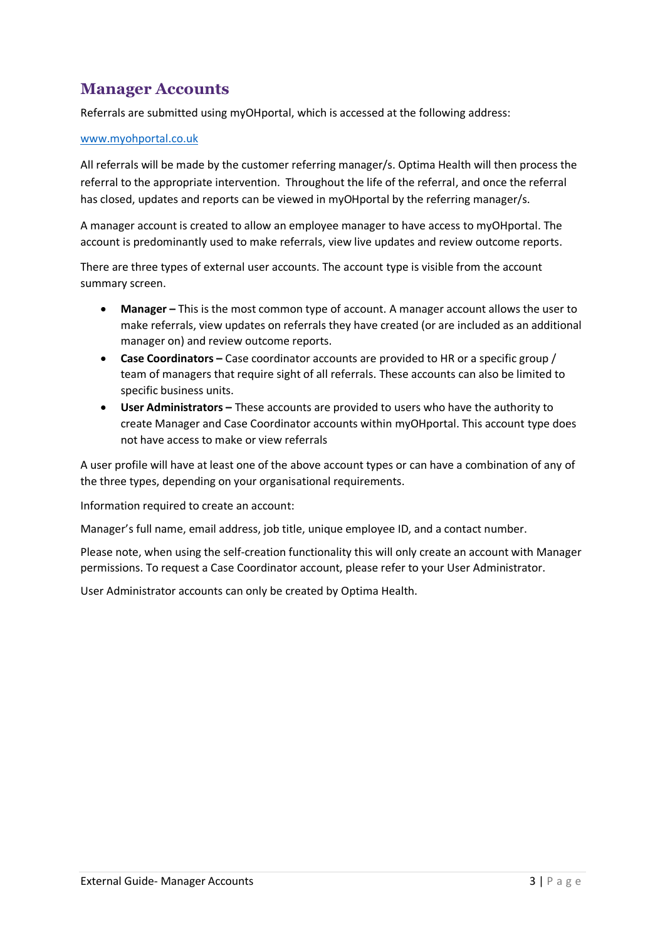## <span id="page-2-0"></span>**Manager Accounts**

Referrals are submitted using myOHportal, which is accessed at the following address:

#### [www.myohportal.co.uk](http://www.myohportal.co.uk/)

All referrals will be made by the customer referring manager/s. Optima Health will then process the referral to the appropriate intervention. Throughout the life of the referral, and once the referral has closed, updates and reports can be viewed in myOHportal by the referring manager/s.

A manager account is created to allow an employee manager to have access to myOHportal. The account is predominantly used to make referrals, view live updates and review outcome reports.

There are three types of external user accounts. The account type is visible from the account summary screen.

- Manager This is the most common type of account. A manager account allows the user to make referrals, view updates on referrals they have created (or are included as an additional manager on) and review outcome reports.
- **Case Coordinators –** Case coordinator accounts are provided to HR or a specific group / team of managers that require sight of all referrals. These accounts can also be limited to specific business units.
- **User Administrators –** These accounts are provided to users who have the authority to create Manager and Case Coordinator accounts within myOHportal. This account type does not have access to make or view referrals

A user profile will have at least one of the above account types or can have a combination of any of the three types, depending on your organisational requirements.

Information required to create an account:

Manager's full name, email address, job title, unique employee ID, and a contact number.

Please note, when using the self-creation functionality this will only create an account with Manager permissions. To request a Case Coordinator account, please refer to your User Administrator.

User Administrator accounts can only be created by Optima Health.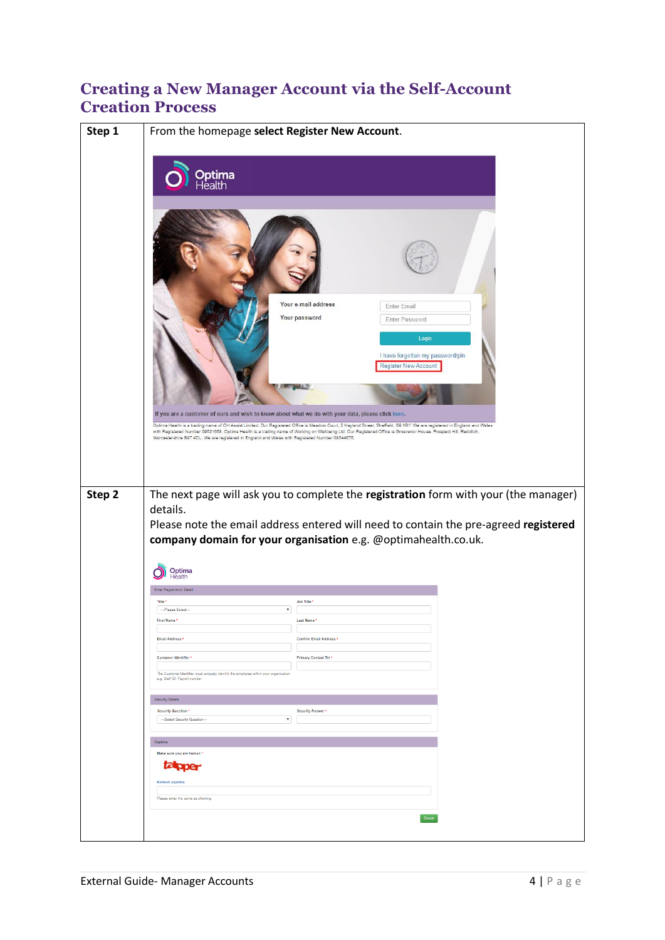### <span id="page-3-0"></span>**Creating a New Manager Account via the Self-Account Creation Process**

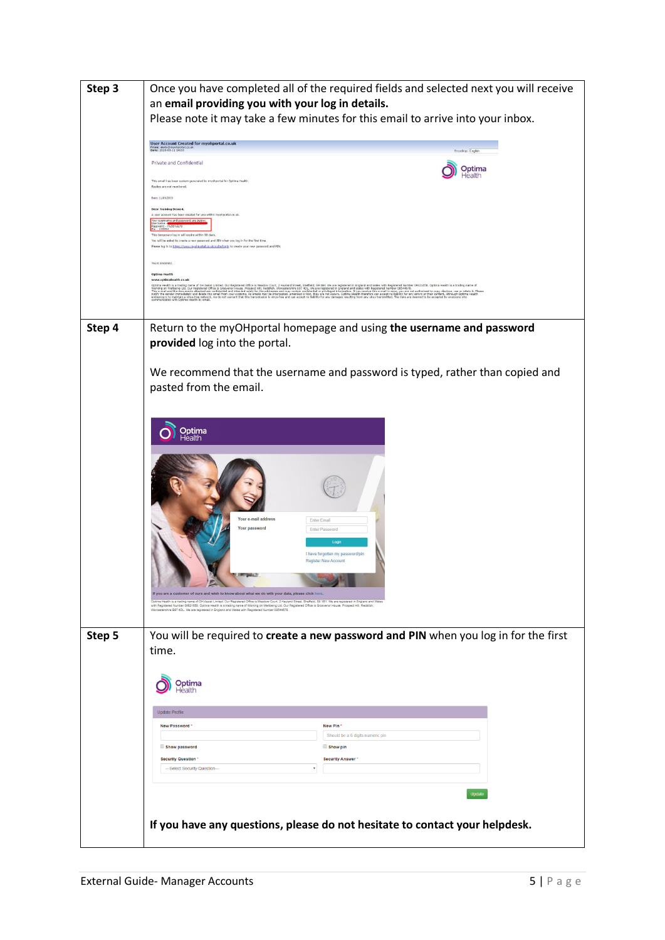| Step 3 | Once you have completed all of the required fields and selected next you will receive<br>an email providing you with your log in details.                                                                                                                                                                                                                                                                                                                                                                                                        |  |  |
|--------|--------------------------------------------------------------------------------------------------------------------------------------------------------------------------------------------------------------------------------------------------------------------------------------------------------------------------------------------------------------------------------------------------------------------------------------------------------------------------------------------------------------------------------------------------|--|--|
|        | Please note it may take a few minutes for this email to arrive into your inbox.                                                                                                                                                                                                                                                                                                                                                                                                                                                                  |  |  |
|        | <b>User Account Created for myohportal.co.uk</b><br>From: alerts@mychportal<br>Encoding: English                                                                                                                                                                                                                                                                                                                                                                                                                                                 |  |  |
|        | Private and Confidential<br>Optima<br>-lealth                                                                                                                                                                                                                                                                                                                                                                                                                                                                                                    |  |  |
|        | This email has been system generated by myohportal for Optima Health.<br>Replies are not monitored.                                                                                                                                                                                                                                                                                                                                                                                                                                              |  |  |
|        | Date: 11/03/2020<br><b>Dear Training Demo4</b><br>A user account has been created for you within myohportal.co.uk                                                                                                                                                                                                                                                                                                                                                                                                                                |  |  |
|        | me and password are below:<br>password - 1%56%&79<br>- 195594<br>This temporary log in will expire within 90 days.                                                                                                                                                                                                                                                                                                                                                                                                                               |  |  |
|        | You will be asked to create a new password and PIN when you log in for the first time<br>Please log in to https://www.myahgortal.co.uk/suite/login to create your new password and PIN.                                                                                                                                                                                                                                                                                                                                                          |  |  |
|        | Yours sincerely,<br><b>Optima Health</b><br>www.optimahealth.co.uk                                                                                                                                                                                                                                                                                                                                                                                                                                                                               |  |  |
|        | ocha Hally International Ghiand Longitud Constant China State State State State State In the Indianal Colorate Market State International International International China State State State State State International China                                                                                                                                                                                                                                                                                                                    |  |  |
|        |                                                                                                                                                                                                                                                                                                                                                                                                                                                                                                                                                  |  |  |
| Step 4 | Return to the myOHportal homepage and using the username and password                                                                                                                                                                                                                                                                                                                                                                                                                                                                            |  |  |
|        | provided log into the portal.                                                                                                                                                                                                                                                                                                                                                                                                                                                                                                                    |  |  |
|        | We recommend that the username and password is typed, rather than copied and                                                                                                                                                                                                                                                                                                                                                                                                                                                                     |  |  |
|        | pasted from the email.                                                                                                                                                                                                                                                                                                                                                                                                                                                                                                                           |  |  |
|        |                                                                                                                                                                                                                                                                                                                                                                                                                                                                                                                                                  |  |  |
|        | Optima<br>Health                                                                                                                                                                                                                                                                                                                                                                                                                                                                                                                                 |  |  |
|        |                                                                                                                                                                                                                                                                                                                                                                                                                                                                                                                                                  |  |  |
|        |                                                                                                                                                                                                                                                                                                                                                                                                                                                                                                                                                  |  |  |
|        |                                                                                                                                                                                                                                                                                                                                                                                                                                                                                                                                                  |  |  |
|        | Your e-mail address<br>Enter Email<br>Your password<br>Enter Password                                                                                                                                                                                                                                                                                                                                                                                                                                                                            |  |  |
|        | Login                                                                                                                                                                                                                                                                                                                                                                                                                                                                                                                                            |  |  |
|        | I have forgotten my password/pin<br><b>Register New Account</b>                                                                                                                                                                                                                                                                                                                                                                                                                                                                                  |  |  |
|        | <b>The Company's Company's Company's Company's Company's Company's Company's Company's Company's Company's Company's Company's Company's Company's Company's Company's Company's Company's Company's Company's Company's Company</b>                                                                                                                                                                                                                                                                                                             |  |  |
|        | If you are a customer of ours and wish to know about what we do with your data, please click here.<br>Optima Health is a trading name of OH Assist Limited. Our Registered Office is Meadow Court, 2 Hayland Street, Sheffield, S9 1BY. We are registered in England and Wales<br>with Registered Number 09621658. Optima Health is a trading name of Working on Welbeing Ltd. Our Registered Office is Grosvenor House, Prospect Hill, Reddi<br>Worcestershire B97 4DL. We are registered in England and Wales with Registered Number 08544676. |  |  |
|        |                                                                                                                                                                                                                                                                                                                                                                                                                                                                                                                                                  |  |  |
| Step 5 | You will be required to create a new password and PIN when you log in for the first<br>time.                                                                                                                                                                                                                                                                                                                                                                                                                                                     |  |  |
|        |                                                                                                                                                                                                                                                                                                                                                                                                                                                                                                                                                  |  |  |
|        | Optima<br>Health                                                                                                                                                                                                                                                                                                                                                                                                                                                                                                                                 |  |  |
|        | Update Profile                                                                                                                                                                                                                                                                                                                                                                                                                                                                                                                                   |  |  |
|        | <b>New Password</b><br>New Pin<br>Should be a 6 digits numeric pin                                                                                                                                                                                                                                                                                                                                                                                                                                                                               |  |  |
|        | Show password<br>Show pin<br><b>Security Question</b><br><b>Security Answer</b>                                                                                                                                                                                                                                                                                                                                                                                                                                                                  |  |  |
|        | --- Select Security Question--                                                                                                                                                                                                                                                                                                                                                                                                                                                                                                                   |  |  |
|        | Update                                                                                                                                                                                                                                                                                                                                                                                                                                                                                                                                           |  |  |
|        |                                                                                                                                                                                                                                                                                                                                                                                                                                                                                                                                                  |  |  |
|        | If you have any questions, please do not hesitate to contact your helpdesk.                                                                                                                                                                                                                                                                                                                                                                                                                                                                      |  |  |